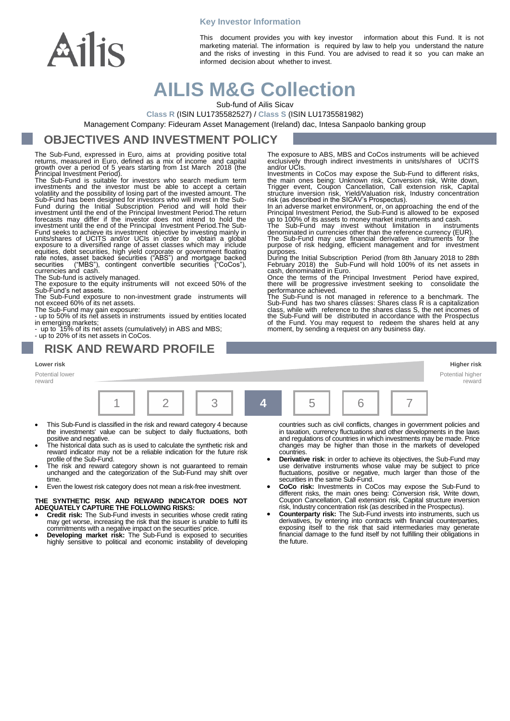

**Key Investor Information**

This document provides you with key investor information about this Fund. It is not marketing material. The information is required by law to help you understand the nature and the risks of investing in this Fund. You are advised to read it so you can make an informed decision about whether to invest.

# **AILIS M&G Collection**

Sub-fund of Ailis Sicav

**Class R** (ISIN LU1735582527) / **Class S** (ISIN LU1735581982)

Management Company: Fideuram Asset Management (Ireland) dac, Intesa Sanpaolo banking group

### **OBJECTIVES AND INVESTMENT POLICY**

The Sub-Fund, expressed in Euro, aims at providing positive total<br>returns, measured in Euro, defined as a mix of income and capital<br>growth over a period of 5 years starting from 1st March 2018 (the<br>Principal Investment Per

investments and the investor must be able to accept a certain<br>volatility and the possibility of losing part of the invested amount. The<br>Sub-Fund has been designed for investors who will invest in the Sub-<br>Fund during the I investment until the end of the Principal Investment Period.The Sub-Fund seeks to achieve its investment objective by investing mainly in units/shares of UCITS and/or UCIs in order to obtain a global exposure to a diversified range of asset classes which may include equities, debt securities, high yield corporate or government floating<br>rate notes, asset backed securities ("ABS") and mortgage backed<br>securities ("MBS"), contingent convertible securities ("CoCos"),<br>currencies and cash.

The Sub-fund is actively managed.

The exposure to the equity instruments will not exceed 50% of the Sub-Fund's net assets.

The Sub-Fund exposure to non-investment grade instruments will not exceed 60% of its net assets.

The Sub-Fund may gain exposure: - up to 50% of its net assets in instruments issued by entities located in emerging markets; - up to 15% of its net assets (cumulatively) in ABS and MBS;

- up to 20% of its net assets in CoCos.

### **RISK AND REWARD PROFILE**

#### **Lower risk Higher risk**

Potential lower reward



- This Sub-Fund is classified in the risk and reward category 4 because the investments' value can be subject to daily fluctuations, both positive and negative.
- The historical data such as is used to calculate the synthetic risk and reward indicator may not be a reliable indication for the future risk profile of the Sub-Fund.
- The risk and reward category shown is not guaranteed to remain unchanged and the categorization of the Sub-Fund may shift over time
- Even the lowest risk category does not mean a risk-free investment.

#### **THE SYNTHETIC RISK AND REWARD INDICATOR DOES NOT ADEQUATELY CAPTURE THE FOLLOWING RISKS:**

- **Credit risk:** The Sub-Fund invests in securities whose credit rating may get worse, increasing the risk that the issuer is unable to fulfil its commitments with a negative impact on the securities' price.
- **Developing market risk:** The Sub-Fund is exposed to securities highly sensitive to political and economic instability of developing

countries such as civil conflicts, changes in government policies and in taxation, currency fluctuations and other developments in the laws and regulations of countries in which investments may be made. Price changes may be higher than those in the markets of developed

Potential higher reward

- countries. **Derivative risk**: in order to achieve its objectives, the Sub-Fund may use derivative instruments whose value may be subject to price fluctuations, positive or negative, much larger than those of the securities in the same Sub-Fund.
- **CoCo risk:** Investments in CoCos may expose the Sub-Fund to different risks, the main ones being: Conversion risk, Write down, Coupon Cancellation, Call extension risk, Capital structure inversion risk, Industry concentration risk (as described in the Prospectus).
- **Counterparty risk:** The Sub-Fund invests into instruments, such us derivatives, by entering into contracts with financial counterparties, exposing itself to the risk that said intermediaries may generate financial damage to the fund itself by not fulfilling their obligations in the future.

The exposure to ABS, MBS and CoCos instruments will be achieved exclusively through indirect investments in units/shares of and/or UCIs.

and/or UCIs.<br>Investments in CoCos may expose the Sub-Fund to different risks,<br>Investments in CoCos may expose the Sub-Fund to different risks,<br>the main ones being: Unknown risk, Conversion risk, Write down,<br>Trigger event,

purpose of risk hedging, efficient management and for investment

purposes.<br>
During the Initial Subscription Period (from 8th January 2018 to 28th<br>
February 2018) the Sub-Fund will hold 100% of its net assets in<br>
cash, denominated in Euro.<br>
Once the terms of the Principal Investment Peri the Sub-Fund will be distributed in accordance with the Prospectus of the Fund. You may request to redeem the shares held at any moment, by sending a request on any business day.